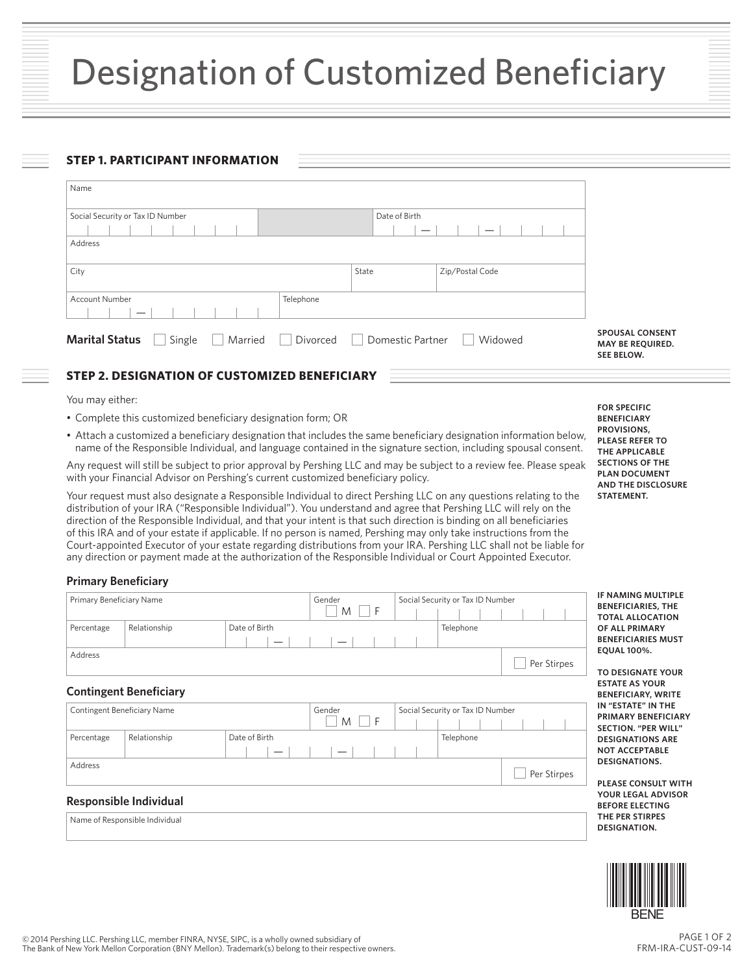### **STEP 1. PARTICIPANT INFORMATION**

| Name                             |                     |                  |                 |                                                                 |
|----------------------------------|---------------------|------------------|-----------------|-----------------------------------------------------------------|
| Social Security or Tax ID Number |                     | Date of Birth    |                 |                                                                 |
| Address                          |                     |                  |                 |                                                                 |
|                                  |                     |                  |                 |                                                                 |
| City                             |                     | State            | Zip/Postal Code |                                                                 |
| Account Number                   | Telephone           |                  |                 |                                                                 |
| <b>Marital Status</b><br>Single  | Married<br>Divorced | Domestic Partner | Widowed         | <b>SPOUSAL CONSENT</b><br>MAY BE REQUIRED.<br><b>SEE BELOW.</b> |

# **STEP 2. DESIGNATION OF CUSTOMIZED BENEFICIARY**

You may either:

- Complete this customized beneficiary designation form; OR
- Attach a customized a beneficiary designation that includes the same beneficiary designation information below, name of the Responsible Individual, and language contained in the signature section, including spousal consent.

Any request will still be subject to prior approval by Pershing LLC and may be subject to a review fee. Please speak with your Financial Advisor on Pershing's current customized beneficiary policy.

Your request must also designate a Responsible Individual to direct Pershing LLC on any questions relating to the distribution of your IRA ("Responsible Individual"). You understand and agree that Pershing LLC will rely on the direction of the Responsible Individual, and that your intent is that such direction is binding on all beneficiaries of this IRA and of your estate if applicable. If no person is named, Pershing may only take instructions from the Court-appointed Executor of your estate regarding distributions from your IRA. Pershing LLC shall not be liable for any direction or payment made at the authorization of the Responsible Individual or Court Appointed Executor.

## **Primary Beneficiary**

| Primary Beneficiary Name |                                |               | Gender<br>M<br>l F | Social Security or Tax ID Number |             |
|--------------------------|--------------------------------|---------------|--------------------|----------------------------------|-------------|
| Percentage               | Relationship                   | Date of Birth |                    | Telephone                        |             |
| Address                  |                                |               |                    |                                  | Per Stirpes |
|                          | <b>Contingent Beneficiary</b>  |               |                    |                                  |             |
|                          | Contingent Beneficiary Name    |               | Gender<br>M<br>l F | Social Security or Tax ID Number |             |
| Percentage               | Relationship                   | Date of Birth |                    | Telephone                        |             |
| Address                  |                                |               |                    |                                  | Per Stirpes |
|                          | Responsible Individual         |               |                    |                                  |             |
|                          | Name of Responsible Individual |               |                    |                                  |             |

**FOR SPECIFIC BENEFICIARY PROVISIONS, PLEASE REFER TO THE APPLICABLE SECTIONS OF THE PLAN DOCUMENT AND THE DISCLOSURE STATEMENT.**

**G MULTIPLE RIES, THE TOCATION IMARY RIES MUST EQUAL 100%.**

**NATE YOUR YOUR BY, WRITE E" IN THE PRIMARY BENEFICIARY SECTION. "PER WILL" TIONS ARE PTABLE TIONS.** 

**PLEASE CONSULT WITH AL ADVISOR BECTING THE PER STIRPES DESIGNATION.**